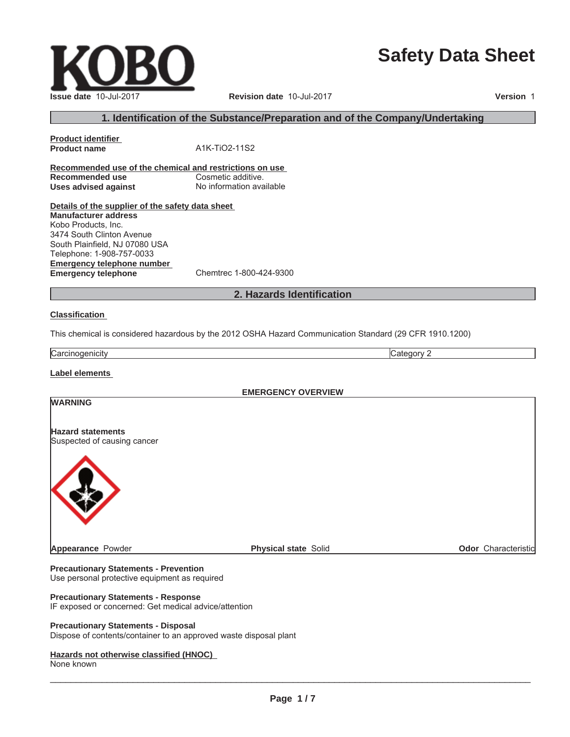# **Safety Data Sheet**

 $\_$  ,  $\_$  ,  $\_$  ,  $\_$  ,  $\_$  ,  $\_$  ,  $\_$  ,  $\_$  ,  $\_$  ,  $\_$  ,  $\_$  ,  $\_$  ,  $\_$  ,  $\_$  ,  $\_$  ,  $\_$  ,  $\_$  ,  $\_$  ,  $\_$  ,  $\_$  ,  $\_$  ,  $\_$  ,  $\_$  ,  $\_$  ,  $\_$  ,  $\_$  ,  $\_$  ,  $\_$  ,  $\_$  ,  $\_$  ,  $\_$  ,  $\_$  ,  $\_$  ,  $\_$  ,  $\_$  ,  $\_$  ,  $\_$  ,

# **1. Identification of the Substance/Preparation and of the Company/Undertaking**

**Recommended use of the chemical and restrictions on use Recommended use** Cosmetic additive. **Uses advised against** No information available

**Product name** A1K-TiO2-11S2

**Details of the supplier of the safety data sheet Emergency telephone number Emergency telephone** Chemtrec 1-800-424-9300 **Manufacturer address** Kobo Products, Inc. 3474 South Clinton Avenue South Plainfield, NJ 07080 USA Telephone: 1-908-757-0033

# **2. Hazards Identification**

#### **Classification**

**Product identifier**

This chemical is considered hazardous by the 2012 OSHA Hazard Communication Standard (29 CFR 1910.1200)

Carcinogenicity **Category 2** 

**Label elements**

**EMERGENCY OVERVIEW**

# **WARNING**

**Hazard statements** Suspected of causing cancer



**Appearance** Powder **Physical state** Solid **Physical state** Solid **Physical State** Solid **Odor** Characteristic

**Precautionary Statements - Prevention** Use personal protective equipment as required

#### **Precautionary Statements - Response**

IF exposed or concerned: Get medical advice/attention

#### **Precautionary Statements - Disposal**

Dispose of contents/container to an approved waste disposal plant

### **Hazards not otherwise classified (HNOC)**

None known

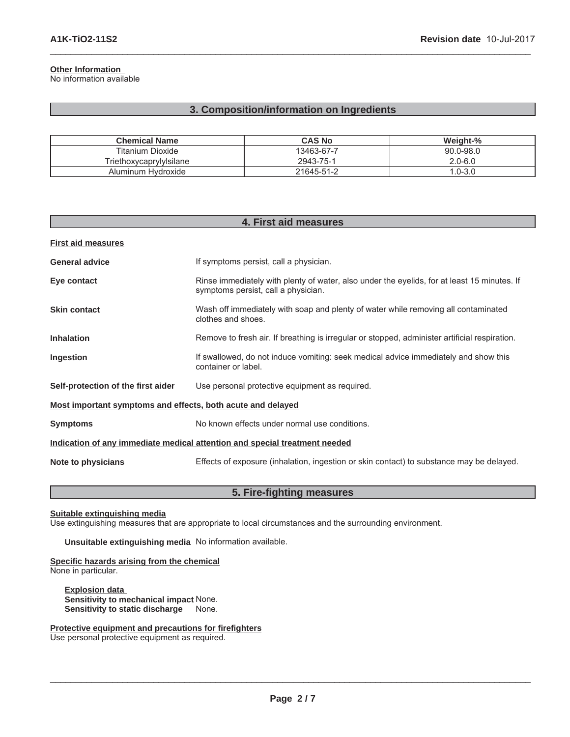# **Other Information**

No information available

# **3. Composition/information on Ingredients**

 $\_$  ,  $\_$  ,  $\_$  ,  $\_$  ,  $\_$  ,  $\_$  ,  $\_$  ,  $\_$  ,  $\_$  ,  $\_$  ,  $\_$  ,  $\_$  ,  $\_$  ,  $\_$  ,  $\_$  ,  $\_$  ,  $\_$  ,  $\_$  ,  $\_$  ,  $\_$  ,  $\_$  ,  $\_$  ,  $\_$  ,  $\_$  ,  $\_$  ,  $\_$  ,  $\_$  ,  $\_$  ,  $\_$  ,  $\_$  ,  $\_$  ,  $\_$  ,  $\_$  ,  $\_$  ,  $\_$  ,  $\_$  ,  $\_$  ,

| <b>Chemical Name</b>    | <b>CAS No</b> | Weight-%      |
|-------------------------|---------------|---------------|
| Titanium Dioxide        | 13463-67-7    | $90.0 - 98.0$ |
| Triethoxycaprylylsilane | 2943-75-1     | $2.0 - 6.0$   |
| Aluminum Hydroxide      | 21645-51-2    | $1.0 - 3.0$   |

| 4. First aid measures                                                      |                                                                                                                                    |  |
|----------------------------------------------------------------------------|------------------------------------------------------------------------------------------------------------------------------------|--|
| <b>First aid measures</b>                                                  |                                                                                                                                    |  |
| <b>General advice</b>                                                      | If symptoms persist, call a physician.                                                                                             |  |
| Eye contact                                                                | Rinse immediately with plenty of water, also under the eyelids, for at least 15 minutes. If<br>symptoms persist, call a physician. |  |
| <b>Skin contact</b>                                                        | Wash off immediately with soap and plenty of water while removing all contaminated<br>clothes and shoes.                           |  |
| <b>Inhalation</b>                                                          | Remove to fresh air. If breathing is irregular or stopped, administer artificial respiration.                                      |  |
| Ingestion                                                                  | If swallowed, do not induce vomiting: seek medical advice immediately and show this<br>container or label.                         |  |
| Self-protection of the first aider                                         | Use personal protective equipment as required.                                                                                     |  |
| Most important symptoms and effects, both acute and delayed                |                                                                                                                                    |  |
| <b>Symptoms</b>                                                            | No known effects under normal use conditions.                                                                                      |  |
| Indication of any immediate medical attention and special treatment needed |                                                                                                                                    |  |
| Note to physicians                                                         | Effects of exposure (inhalation, ingestion or skin contact) to substance may be delayed.                                           |  |

# **5. Fire-fighting measures**

**Suitable extinguishing media**

Use extinguishing measures that are appropriate to local circumstances and the surrounding environment.

**Unsuitable extinguishing media** No information available.

#### **Specific hazards arising from the chemical** None in particular.

**Explosion data Sensitivity to mechanical impact** None. **Sensitivity to static discharge** None.

**Protective equipment and precautions for firefighters**

Use personal protective equipment as required.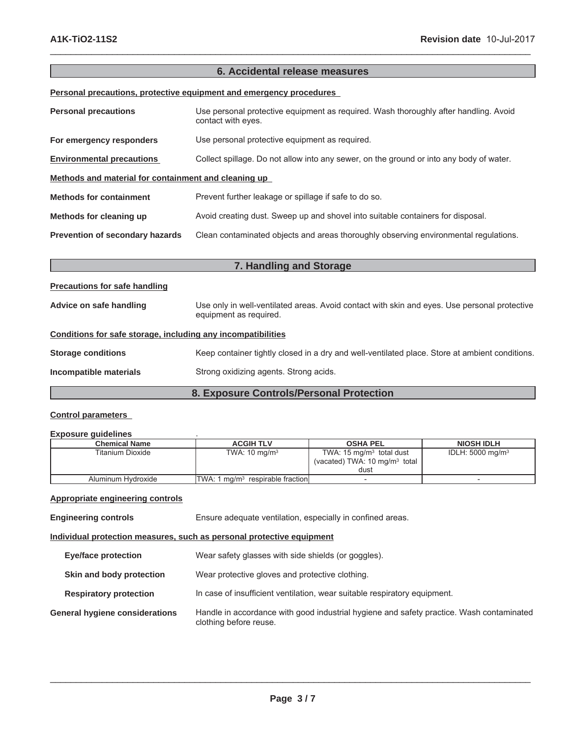# **6. Accidental release measures**

 $\_$  ,  $\_$  ,  $\_$  ,  $\_$  ,  $\_$  ,  $\_$  ,  $\_$  ,  $\_$  ,  $\_$  ,  $\_$  ,  $\_$  ,  $\_$  ,  $\_$  ,  $\_$  ,  $\_$  ,  $\_$  ,  $\_$  ,  $\_$  ,  $\_$  ,  $\_$  ,  $\_$  ,  $\_$  ,  $\_$  ,  $\_$  ,  $\_$  ,  $\_$  ,  $\_$  ,  $\_$  ,  $\_$  ,  $\_$  ,  $\_$  ,  $\_$  ,  $\_$  ,  $\_$  ,  $\_$  ,  $\_$  ,  $\_$  ,

**Personal precautions, protective equipment and emergency procedures**

| <b>Personal precautions</b>                          | Use personal protective equipment as required. Wash thoroughly after handling. Avoid<br>contact with eyes. |
|------------------------------------------------------|------------------------------------------------------------------------------------------------------------|
| For emergency responders                             | Use personal protective equipment as required.                                                             |
| <b>Environmental precautions</b>                     | Collect spillage. Do not allow into any sewer, on the ground or into any body of water.                    |
| Methods and material for containment and cleaning up |                                                                                                            |
| <b>Methods for containment</b>                       | Prevent further leakage or spillage if safe to do so.                                                      |
| Methods for cleaning up                              | Avoid creating dust. Sweep up and shovel into suitable containers for disposal.                            |
| <b>Prevention of secondary hazards</b>               | Clean contaminated objects and areas thoroughly observing environmental regulations.                       |

| 7. Handling and Storage                                      |                                                                                                                        |  |
|--------------------------------------------------------------|------------------------------------------------------------------------------------------------------------------------|--|
| <b>Precautions for safe handling</b>                         |                                                                                                                        |  |
| Advice on safe handling                                      | Use only in well-ventilated areas. Avoid contact with skin and eyes. Use personal protective<br>equipment as required. |  |
| Conditions for safe storage, including any incompatibilities |                                                                                                                        |  |
| <b>Storage conditions</b>                                    | Keep container tightly closed in a dry and well-ventilated place. Store at ambient conditions.                         |  |
| Incompatible materials                                       | Strong oxidizing agents. Strong acids.                                                                                 |  |
| 8. Exposure Controls/Personal Protection                     |                                                                                                                        |  |

#### **Control parameters**

#### **Exposure guidelines** .

| <b>Chemical Name</b> | <b>ACGIH TLV</b>                              | <b>OSHA PEL</b>                          | <b>NIOSH IDLH</b>           |
|----------------------|-----------------------------------------------|------------------------------------------|-----------------------------|
| Titanium Dioxide     | TWA: $10 \text{ ma/m}^3$                      | TWA: $15 \text{ mg/m}^3$ total dust      | IDLH: $5000 \text{ mg/m}^3$ |
|                      |                                               | (vacated) TWA: $10 \text{ mg/m}^3$ total |                             |
|                      |                                               | dust                                     |                             |
| Aluminum Hydroxide   | ITWA: 1 mg/m <sup>3</sup> respirable fraction |                                          | $\overline{\phantom{0}}$    |

### **Appropriate engineering controls**

**Engineering controls** Ensure adequate ventilation, especially in confined areas.

**Individual protection measures, such as personal protective equipment**

| <b>Eye/face protection</b>            | Wear safety glasses with side shields (or goggles).                                                                |
|---------------------------------------|--------------------------------------------------------------------------------------------------------------------|
| Skin and body protection              | Wear protective gloves and protective clothing.                                                                    |
| <b>Respiratory protection</b>         | In case of insufficient ventilation, wear suitable respiratory equipment.                                          |
| <b>General hygiene considerations</b> | Handle in accordance with good industrial hygiene and safety practice. Wash contaminated<br>clothing before reuse. |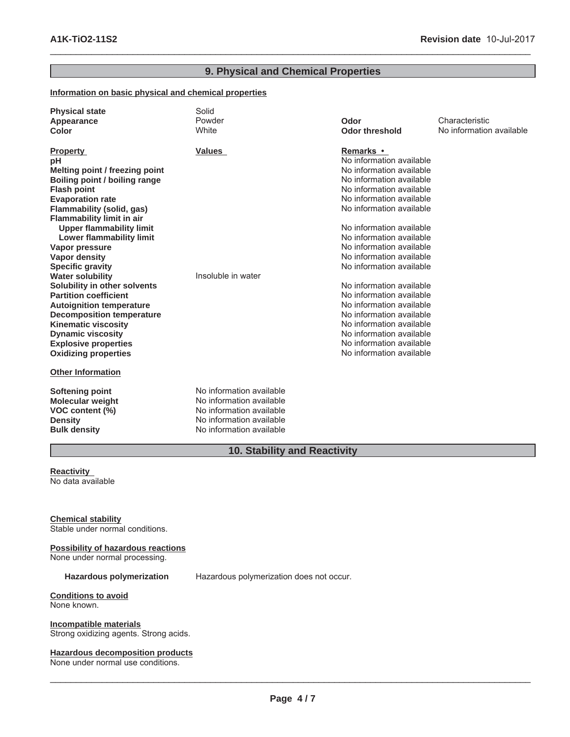# **9. Physical and Chemical Properties**

 $\_$  ,  $\_$  ,  $\_$  ,  $\_$  ,  $\_$  ,  $\_$  ,  $\_$  ,  $\_$  ,  $\_$  ,  $\_$  ,  $\_$  ,  $\_$  ,  $\_$  ,  $\_$  ,  $\_$  ,  $\_$  ,  $\_$  ,  $\_$  ,  $\_$  ,  $\_$  ,  $\_$  ,  $\_$  ,  $\_$  ,  $\_$  ,  $\_$  ,  $\_$  ,  $\_$  ,  $\_$  ,  $\_$  ,  $\_$  ,  $\_$  ,  $\_$  ,  $\_$  ,  $\_$  ,  $\_$  ,  $\_$  ,  $\_$  ,

# **Information on basic physical and chemical properties**

| <b>Physical state</b><br>Appearance<br>Color                                                                                                                                                                                                                                                                                                                                                                                                                                                                                                                                                                                                    | Solid<br>Powder<br>White                                                                                                                 | Odor<br><b>Odor threshold</b>                                                                                                                                                                                                                                                                                                                                                                                                                                                                                                                                 | Characteristic<br>No information available |
|-------------------------------------------------------------------------------------------------------------------------------------------------------------------------------------------------------------------------------------------------------------------------------------------------------------------------------------------------------------------------------------------------------------------------------------------------------------------------------------------------------------------------------------------------------------------------------------------------------------------------------------------------|------------------------------------------------------------------------------------------------------------------------------------------|---------------------------------------------------------------------------------------------------------------------------------------------------------------------------------------------------------------------------------------------------------------------------------------------------------------------------------------------------------------------------------------------------------------------------------------------------------------------------------------------------------------------------------------------------------------|--------------------------------------------|
| <b>Property</b><br>pH<br>Melting point / freezing point<br>Boiling point / boiling range<br><b>Flash point</b><br><b>Evaporation rate</b><br>Flammability (solid, gas)<br><b>Flammability limit in air</b><br><b>Upper flammability limit</b><br><b>Lower flammability limit</b><br>Vapor pressure<br><b>Vapor density</b><br><b>Specific gravity</b><br><b>Water solubility</b><br>Solubility in other solvents<br><b>Partition coefficient</b><br><b>Autoignition temperature</b><br><b>Decomposition temperature</b><br><b>Kinematic viscosity</b><br><b>Dynamic viscosity</b><br><b>Explosive properties</b><br><b>Oxidizing properties</b> | <b>Values</b><br>Insoluble in water                                                                                                      | Remarks •<br>No information available<br>No information available<br>No information available<br>No information available<br>No information available<br>No information available<br>No information available<br>No information available<br>No information available<br>No information available<br>No information available<br>No information available<br>No information available<br>No information available<br>No information available<br>No information available<br>No information available<br>No information available<br>No information available |                                            |
| <b>Other Information</b>                                                                                                                                                                                                                                                                                                                                                                                                                                                                                                                                                                                                                        |                                                                                                                                          |                                                                                                                                                                                                                                                                                                                                                                                                                                                                                                                                                               |                                            |
| <b>Softening point</b><br>Molecular weight<br>VOC content (%)<br><b>Density</b><br><b>Bulk density</b>                                                                                                                                                                                                                                                                                                                                                                                                                                                                                                                                          | No information available<br>No information available<br>No information available<br>No information available<br>No information available |                                                                                                                                                                                                                                                                                                                                                                                                                                                                                                                                                               |                                            |

# **10. Stability and Reactivity**

#### **Reactivity** No data available

# **Chemical stability**

Stable under normal conditions.

#### **Possibility of hazardous reactions** None under normal processing.

**Hazardous polymerization** Hazardous polymerization does not occur.

#### **Conditions to avoid** None known.

**Incompatible materials** Strong oxidizing agents. Strong acids.

#### **Hazardous decomposition products**

None under normal use conditions.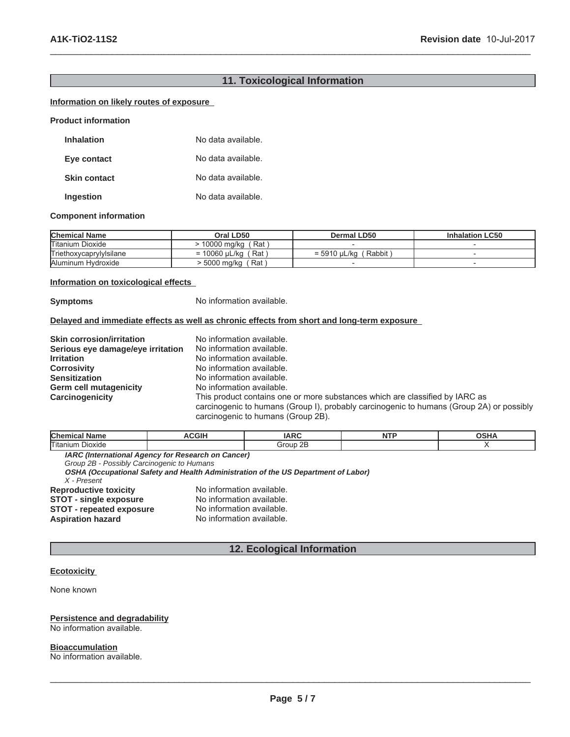# **11. Toxicological Information**

 $\_$  ,  $\_$  ,  $\_$  ,  $\_$  ,  $\_$  ,  $\_$  ,  $\_$  ,  $\_$  ,  $\_$  ,  $\_$  ,  $\_$  ,  $\_$  ,  $\_$  ,  $\_$  ,  $\_$  ,  $\_$  ,  $\_$  ,  $\_$  ,  $\_$  ,  $\_$  ,  $\_$  ,  $\_$  ,  $\_$  ,  $\_$  ,  $\_$  ,  $\_$  ,  $\_$  ,  $\_$  ,  $\_$  ,  $\_$  ,  $\_$  ,  $\_$  ,  $\_$  ,  $\_$  ,  $\_$  ,  $\_$  ,  $\_$  ,

# **Information on likely routes of exposure**

**Product information**

| <b>Inhalation</b>   | No data available. |
|---------------------|--------------------|
| Eye contact         | No data available. |
| <b>Skin contact</b> | No data available. |
| Ingestion           | No data available. |

#### **Component information**

| <b>Chemical Name</b>    | Oral LD50                | Dermal LD50            | <b>Inhalation LC50</b>   |
|-------------------------|--------------------------|------------------------|--------------------------|
| Titanium Dioxide        | 10000 ma/ka<br>Rat       |                        |                          |
| Triethoxycaprylylsilane | ' Rat ∶<br>= 10060 uL/ka | Rabbit<br>= 5910 uL/ka |                          |
| Aluminum Hydroxide      | Rat<br>5000 mg/kg        |                        | $\overline{\phantom{a}}$ |

#### **Information on toxicological effects**

**Symptoms** No information available.

### **Delayed and immediate effects as well as chronic effects from short and long-term exposure**

| <b>Skin corrosion/irritation</b>  | No information available.                                                                                                      |
|-----------------------------------|--------------------------------------------------------------------------------------------------------------------------------|
| Serious eye damage/eye irritation | No information available.                                                                                                      |
| <b>Irritation</b>                 | No information available.                                                                                                      |
| <b>Corrosivity</b>                | No information available.                                                                                                      |
| <b>Sensitization</b>              | No information available.                                                                                                      |
| <b>Germ cell mutagenicity</b>     | No information available.                                                                                                      |
| Carcinogenicity                   | This product contains one or more substances which are classified by IARC as                                                   |
|                                   | carcinogenic to humans (Group I), probably carcinogenic to humans (Group 2A) or possibly<br>carcinogenic to humans (Group 2B). |

| <b>Chen</b><br><b>Name</b>                                | $\sim$ |                | $\sim$ $\sim$ $\sim$<br>חווטי |
|-----------------------------------------------------------|--------|----------------|-------------------------------|
| l <del>er</del><br>Titaniur<br>Dioxide                    |        | 2E<br><br>111r |                               |
| <b>IADO (International Agency for Depensel on Concert</b> |        |                |                               |

**IARC (International Agency for Research on Cancer)** *Group 2B - Possibly Carcinogenic to Humans* **OSHA (Occupational Safety and Health Administration of the US Department of Labor)** *X - Present* **Reproductive toxicity** No information available.<br>**STOT - single exposure** No information available. **STOT - single exposure** No information available.<br>**STOT - repeated exposure** No information available. **STOT - repeated exposure<br>Aspiration hazard** No information available.

# **12. Ecological Information**

#### **Ecotoxicity**

None known

#### **Persistence and degradability**

No information available.

# **Bioaccumulation**

No information available.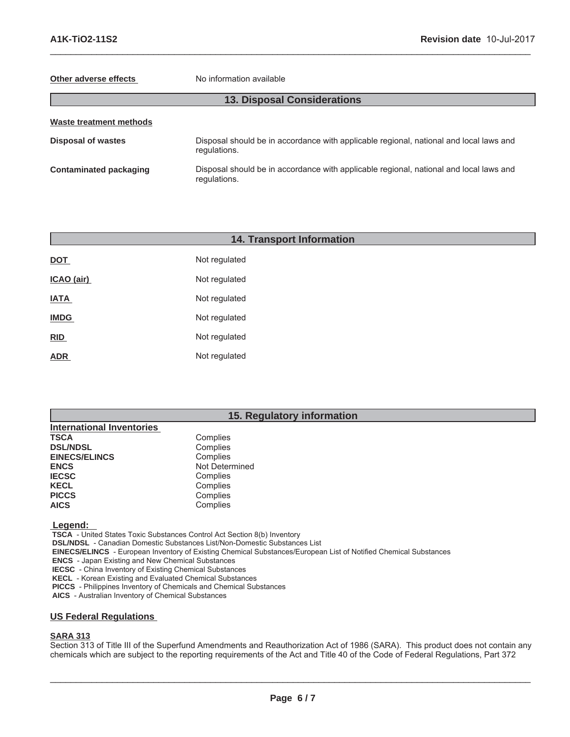#### **Other adverse effects** No information available

# **13. Disposal Considerations**

 $\_$  ,  $\_$  ,  $\_$  ,  $\_$  ,  $\_$  ,  $\_$  ,  $\_$  ,  $\_$  ,  $\_$  ,  $\_$  ,  $\_$  ,  $\_$  ,  $\_$  ,  $\_$  ,  $\_$  ,  $\_$  ,  $\_$  ,  $\_$  ,  $\_$  ,  $\_$  ,  $\_$  ,  $\_$  ,  $\_$  ,  $\_$  ,  $\_$  ,  $\_$  ,  $\_$  ,  $\_$  ,  $\_$  ,  $\_$  ,  $\_$  ,  $\_$  ,  $\_$  ,  $\_$  ,  $\_$  ,  $\_$  ,  $\_$  ,

| Waste treatment methods       |                                                                                                        |  |
|-------------------------------|--------------------------------------------------------------------------------------------------------|--|
| <b>Disposal of wastes</b>     | Disposal should be in accordance with applicable regional, national and local laws and<br>regulations. |  |
| <b>Contaminated packaging</b> | Disposal should be in accordance with applicable regional, national and local laws and<br>regulations. |  |

| <b>14. Transport Information</b> |               |  |  |  |
|----------------------------------|---------------|--|--|--|
| <b>DOT</b>                       | Not regulated |  |  |  |
| ICAO (air)                       | Not regulated |  |  |  |
| <b>IATA</b>                      | Not regulated |  |  |  |
| <b>IMDG</b>                      | Not regulated |  |  |  |
| <b>RID</b>                       | Not regulated |  |  |  |
| <b>ADR</b>                       | Not regulated |  |  |  |
|                                  |               |  |  |  |

# **15. Regulatory information**

| Complies       |
|----------------|
| Complies       |
| Complies       |
| Not Determined |
| Complies       |
| Complies       |
| Complies       |
| Complies       |
|                |

 **Legend:** 

 **TSCA** - United States Toxic Substances Control Act Section 8(b) Inventory

 **DSL/NDSL** - Canadian Domestic Substances List/Non-Domestic Substances List

 **EINECS/ELINCS** - European Inventory of Existing Chemical Substances/European List of Notified Chemical Substances

 **ENCS** - Japan Existing and New Chemical Substances

 **IECSC** - China Inventory of Existing Chemical Substances

 **KECL** - Korean Existing and Evaluated Chemical Substances

 **PICCS** - Philippines Inventory of Chemicals and Chemical Substances

 **AICS** - Australian Inventory of Chemical Substances

# **US Federal Regulations**

# **SARA 313**

Section 313 of Title III of the Superfund Amendments and Reauthorization Act of 1986 (SARA). This product does not contain any chemicals which are subject to the reporting requirements of the Act and Title 40 of the Code of Federal Regulations, Part 372